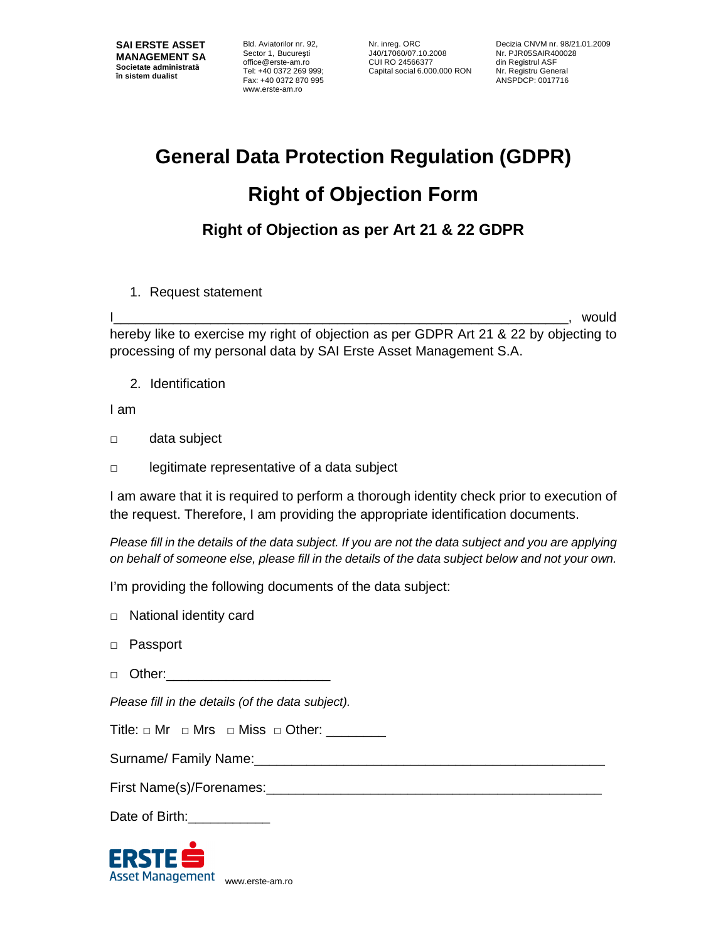Bld. Aviatorilor nr. 92, Sector 1, Bucureşti office@erste-am.ro Tel: +40 0372 269 999; Fax: +40 0372 870 995 www.erste-am.ro

Nr. inreg. ORC J40/17060/07.10.2008 CUI RO 24566377 Capital social 6.000.000 RON

Decizia CNVM nr. 98/21.01.2009 Nr. PJR05SAIR400028 din Registrul ASF Nr. Registru General ANSPDCP: 0017716

## **General Data Protection Regulation (GDPR)**

## **Right of Objection Form**

## **Right of Objection as per Art 21 & 22 GDPR**

1. Request statement

I\_\_\_\_\_\_\_\_\_\_\_\_\_\_\_\_\_\_\_\_\_\_\_\_\_\_\_\_\_\_\_\_\_\_\_\_\_\_\_\_\_\_\_\_\_\_\_\_\_\_\_\_\_\_\_\_\_\_\_\_\_, would hereby like to exercise my right of objection as per GDPR Art 21 & 22 by objecting to processing of my personal data by SAI Erste Asset Management S.A.

2. Identification

I am

- □ data subject
- □ legitimate representative of a data subject

I am aware that it is required to perform a thorough identity check prior to execution of the request. Therefore, I am providing the appropriate identification documents.

Please fill in the details of the data subject. If you are not the data subject and you are applying on behalf of someone else, please fill in the details of the data subject below and not your own.

I'm providing the following documents of the data subject:

- □ National identity card
- □ Passport
- □ Other:\_\_\_\_\_\_\_\_\_\_\_\_\_\_\_\_\_\_\_\_\_\_

Please fill in the details (of the data subject).

Surname/ Family Name:

First Name(s)/Forenames:

Date of Birth:

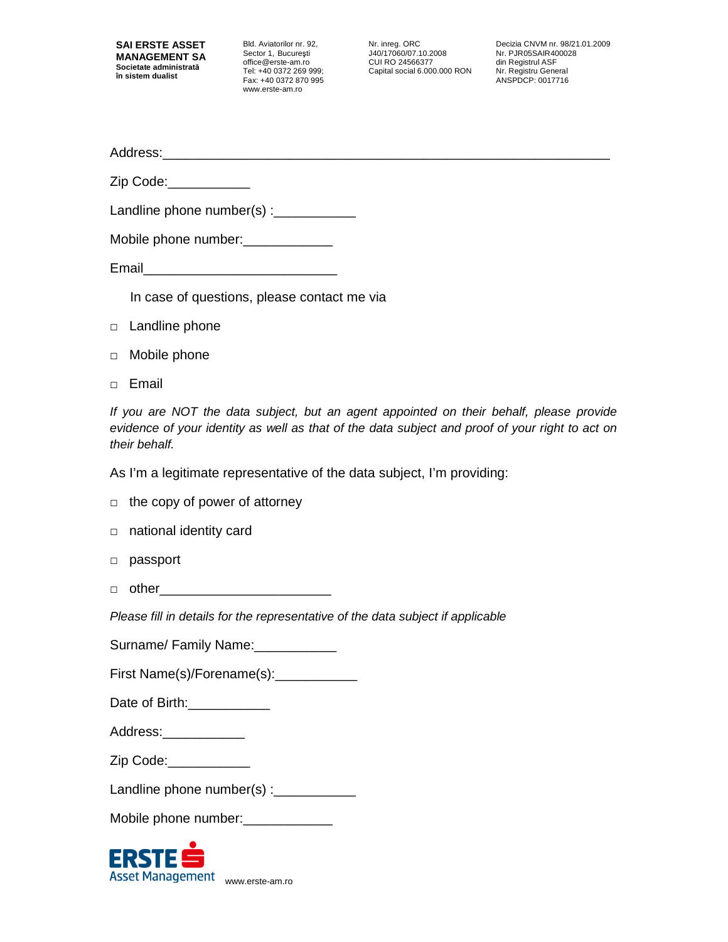Bld. Aviatorilor nr. 92, Sector 1, Bucureşti office@erste-am.ro Tel: +40 0372 269 999; Fax: +40 0372 870 995 www.erste-am.ro

Nr. inreg. ORC J40/17060/07.10.2008 CUI RO 24566377 Capital social 6.000.000 RON

Decizia CNVM nr. 98/21.01.2009 Nr. PJR05SAIR400028 din Registrul ASF Nr. Registru General ANSPDCP: 0017716

Address:\_\_\_\_

Zip Code:\_\_\_\_\_\_\_\_\_\_\_\_\_

Landline phone number(s) :\_\_\_\_\_\_\_\_\_\_\_\_\_\_

|  | Mobile phone number: |
|--|----------------------|
|--|----------------------|

Email\_\_\_\_\_\_\_\_\_\_\_\_\_\_\_\_\_\_\_\_\_\_\_\_\_\_

In case of questions, please contact me via

- □ Landline phone
- □ Mobile phone
- □ Email

If you are NOT the data subject, but an agent appointed on their behalf, please provide evidence of your identity as well as that of the data subject and proof of your right to act on their behalf.

As I'm a legitimate representative of the data subject, I'm providing:

|  |  |  | $\Box$ the copy of power of attorney |
|--|--|--|--------------------------------------|
|--|--|--|--------------------------------------|

- □ national identity card
- □ passport
- $\Box$  other

Please fill in details for the representative of the data subject if applicable

Surname/ Family Name:

First Name(s)/Forename(s):

| Date of Birth: |  |
|----------------|--|
|----------------|--|

Address: \_\_\_\_\_\_\_\_\_\_\_\_\_

Zip Code:\_\_\_\_\_\_\_\_\_\_\_

| Landline phone number(s) : |  |  |  |  |
|----------------------------|--|--|--|--|
|----------------------------|--|--|--|--|

|  |  | Mobile phone number: |  |
|--|--|----------------------|--|
|--|--|----------------------|--|

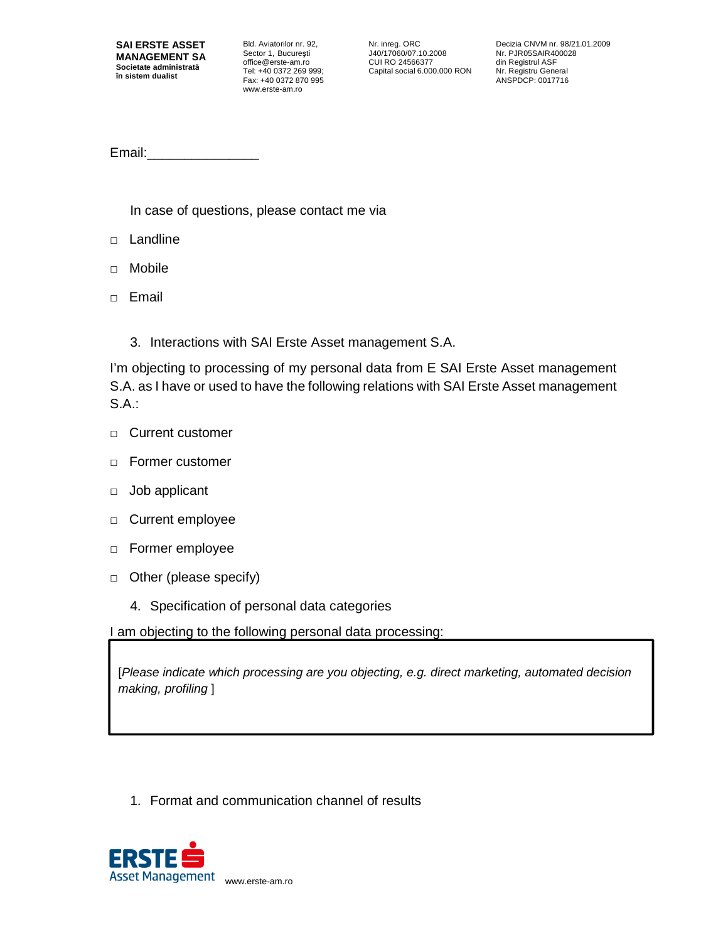Bld. Aviatorilor nr. 92, Sector 1, Bucureşti office@erste-am.ro Tel: +40 0372 269 999; Fax: +40 0372 870 995 www.erste-am.ro

Nr. inreg. ORC J40/17060/07.10.2008 CUI RO 24566377 Capital social 6.000.000 RON Decizia CNVM nr. 98/21.01.2009 Nr. PJR05SAIR400028 din Registrul ASF Nr. Registru General ANSPDCP: 0017716

Email:\_\_\_\_\_\_\_\_\_\_\_\_\_\_\_

In case of questions, please contact me via

- □ Landline
- □ Mobile
- □ Email
	- 3. Interactions with SAI Erste Asset management S.A.

I'm objecting to processing of my personal data from E SAI Erste Asset management S.A. as I have or used to have the following relations with SAI Erste Asset management S.A.:

- □ Current customer
- □ Former customer
- □ Job applicant
- □ Current employee
- □ Former employee
- □ Other (please specify)
	- 4. Specification of personal data categories

I am objecting to the following personal data processing:

[Please indicate which processing are you objecting, e.g. direct marketing, automated decision making, profiling ]

1. Format and communication channel of results

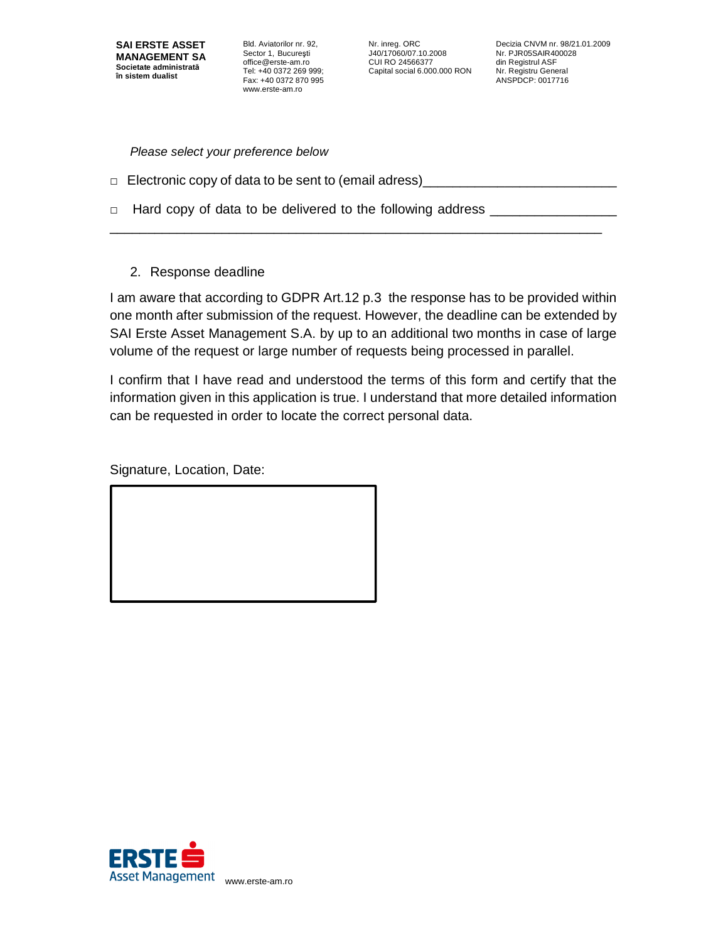Bld. Aviatorilor nr. 92, Sector 1, Bucureşti office@erste-am.ro Tel: +40 0372 269 999; Fax: +40 0372 870 995 www.erste-am.ro

Nr. inreg. ORC J40/17060/07.10.2008 CUI RO 24566377 Capital social 6.000.000 RON

Decizia CNVM nr. 98/21.01.2009 Nr. PJR05SAIR400028 din Registrul ASF Nr. Registru General ANSPDCP: 0017716

Please select your preference below

 $\Box$  Electronic copy of data to be sent to (email adress)

\_\_\_\_\_\_\_\_\_\_\_\_\_\_\_\_\_\_\_\_\_\_\_\_\_\_\_\_\_\_\_\_\_\_\_\_\_\_\_\_\_\_\_\_\_\_\_\_\_\_\_\_\_\_\_\_\_\_\_\_\_\_\_\_\_\_

- □ Hard copy of data to be delivered to the following address
	- 2. Response deadline

I am aware that according to GDPR Art.12 p.3 the response has to be provided within one month after submission of the request. However, the deadline can be extended by SAI Erste Asset Management S.A. by up to an additional two months in case of large volume of the request or large number of requests being processed in parallel.

I confirm that I have read and understood the terms of this form and certify that the information given in this application is true. I understand that more detailed information can be requested in order to locate the correct personal data.

Signature, Location, Date: